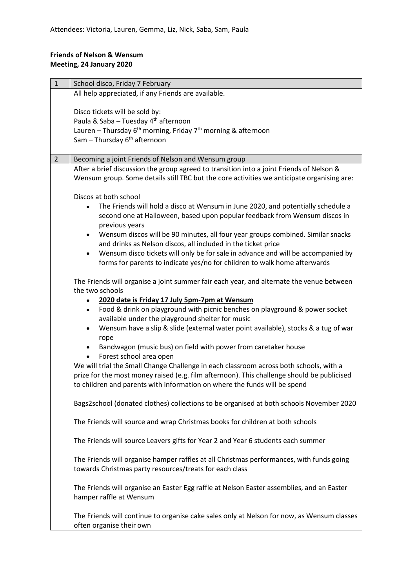## **Friends of Nelson & Wensum Meeting, 24 January 2020**

| $\mathbf{1}$   | School disco, Friday 7 February                                                                                                   |
|----------------|-----------------------------------------------------------------------------------------------------------------------------------|
|                | All help appreciated, if any Friends are available.                                                                               |
|                |                                                                                                                                   |
|                | Disco tickets will be sold by:                                                                                                    |
|                | Paula & Saba - Tuesday 4 <sup>th</sup> afternoon                                                                                  |
|                | Lauren - Thursday 6 <sup>th</sup> morning, Friday 7 <sup>th</sup> morning & afternoon<br>Sam - Thursday 6 <sup>th</sup> afternoon |
|                |                                                                                                                                   |
| $\overline{2}$ | Becoming a joint Friends of Nelson and Wensum group                                                                               |
|                | After a brief discussion the group agreed to transition into a joint Friends of Nelson &                                          |
|                | Wensum group. Some details still TBC but the core activities we anticipate organising are:                                        |
|                |                                                                                                                                   |
|                | Discos at both school                                                                                                             |
|                | The Friends will hold a disco at Wensum in June 2020, and potentially schedule a                                                  |
|                | second one at Halloween, based upon popular feedback from Wensum discos in                                                        |
|                | previous years<br>Wensum discos will be 90 minutes, all four year groups combined. Similar snacks                                 |
|                | and drinks as Nelson discos, all included in the ticket price                                                                     |
|                | Wensum disco tickets will only be for sale in advance and will be accompanied by                                                  |
|                | forms for parents to indicate yes/no for children to walk home afterwards                                                         |
|                |                                                                                                                                   |
|                | The Friends will organise a joint summer fair each year, and alternate the venue between                                          |
|                | the two schools                                                                                                                   |
|                | 2020 date is Friday 17 July 5pm-7pm at Wensum<br>Food & drink on playground with picnic benches on playground & power socket      |
|                | available under the playground shelter for music                                                                                  |
|                | Wensum have a slip & slide (external water point available), stocks & a tug of war<br>$\bullet$                                   |
|                | rope                                                                                                                              |
|                | Bandwagon (music bus) on field with power from caretaker house                                                                    |
|                | Forest school area open<br>$\bullet$                                                                                              |
|                | We will trial the Small Change Challenge in each classroom across both schools, with a                                            |
|                | prize for the most money raised (e.g. film afternoon). This challenge should be publicised                                        |
|                | to children and parents with information on where the funds will be spend                                                         |
|                | Bags2school (donated clothes) collections to be organised at both schools November 2020                                           |
|                |                                                                                                                                   |
|                | The Friends will source and wrap Christmas books for children at both schools                                                     |
|                |                                                                                                                                   |
|                | The Friends will source Leavers gifts for Year 2 and Year 6 students each summer                                                  |
|                | The Friends will organise hamper raffles at all Christmas performances, with funds going                                          |
|                | towards Christmas party resources/treats for each class                                                                           |
|                |                                                                                                                                   |
|                | The Friends will organise an Easter Egg raffle at Nelson Easter assemblies, and an Easter                                         |
|                | hamper raffle at Wensum                                                                                                           |
|                |                                                                                                                                   |
|                | The Friends will continue to organise cake sales only at Nelson for now, as Wensum classes                                        |
|                | often organise their own                                                                                                          |